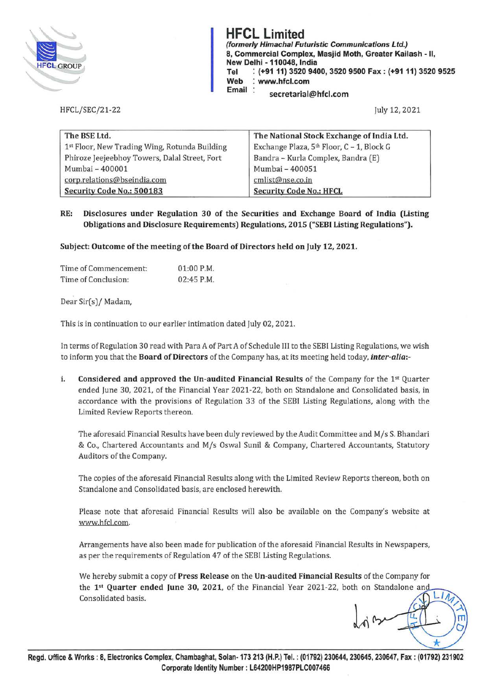

HFCL/SEC/21-22

# **HFCL Limited**<br>(formerly Himachal Futuristic Communications Ltd.) **m PUL LIMITEG**<br>
(formerly Himachal Futuristic Communications Ltd.)<br>
8, Commercial Complex, Masjid Moth, Greater Kail<br>
New Delhi - 110048, India **8, Commercial Complex, Masjid Moth, Greater Kailash - II, New Delhi -110048, India**

**Tel : (+91 11) 3520 9400, 3520 9500 Fax: (+91 11) 3520 9525** 

**Web : www.hfcl.com** 

**Email secretarial@hfcl.com** 

July 12, 2021

| The BSE Ltd.                                  | The National Stock Exchange of India Ltd. |
|-----------------------------------------------|-------------------------------------------|
| 1st Floor, New Trading Wing, Rotunda Building | Exchange Plaza, 5th Floor, C - 1, Block G |
| Phiroze Jeejeebhoy Towers, Dalal Street, Fort | Bandra - Kurla Complex, Bandra (E)        |
| Mumbai - 400001                               | Mumbai - 400051                           |
| corp.relations@bseindia.com                   | cmlist@nse.co.in                          |
| Security Code No.: 500183                     | <b>Security Code No.: HFCL</b>            |

## **RE: Disclosures under Regulation 30 of the Securities and Exchange Board of India (Listing Obligations and Disclosure Requirements) Regulations, 2015 ("SEBI Listing Regulations").**

**Subject: Outcome of the meeting of the Board of Directors held on July 12, 2021.** 

| Time of Commencement: | $01:00$ P.M. |
|-----------------------|--------------|
| Time of Conclusion:   | $02:45$ P.M. |

Dear Sir(s)/ Madam,

This is in continuation to our earlier intimation dated July 02, 2021.

In terms of Regulation 30 read with Para A of Part A of Schedule III to the SEBI Listing Regulations, we wish to inform you that the **Board of Directors** of the Company has, at its meeting held today, *inter-alia:-*

**i.** Considered and approved the Un-audited Financial Results of the Company for the 1<sup>st</sup> Quarter ended June 30, 2021, of the Financial Year 2021-22, both on Standalone and Consolidated basis, in accordance with the provisions of Regulation 33 of the SEBI Listing Regulations, along with the Limited Review Reports thereon.

The aforesaid Financial Results have been duly reviewed by the Audit Committee and M/s S. Bhandari & Co., Chartered Accountants and M/s Oswal Sunil & Company, Chartered Accountants, Statutory Auditors of the Company.

The copies of the aforesaid Financial Results along with the Limited Review Reports thereon, both on Standalone and Consolidated basis, are enclosed herewith.

Please note that aforesaid Financial Results will also be available on the Company's website at www.hfcl.com.

Arrangements have also been made for publication of the aforesaid Financial Results in Newspapers, as per the requirements of Regulation 47 of the SEBI Listing Regulations.

We hereby submit a copy of **Press Release** on the **Un-audited Financial Results** of the Company for the **1st Quarter ended June 30, 2021,** of the Financial Year 2021-22, both on Standalone an Consolidated basis.

 $L1n$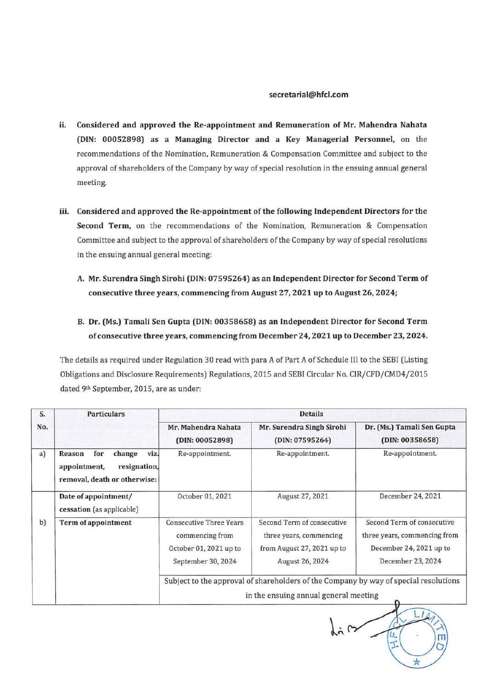#### **secretarial@hfcl.com**

- ii. **Considered and approved the Re-appointment and Remuneration of Mr. Mahendra Nahata (DIN: 00052898) as a Managing Director and a Key Managerial Personnel,** on the recommendations of the Nomination, Remuneration & Compensation Committee and subject to the approval of shareholders of the Company by way of special resolution in the ensuing annual general meeting.
- iii. **Considered and approved the Re-appointment of the following Independent Directors for the Second Term,** on the recommendations of the Nomination, Remuneration & Compensation Committee and subject to the approval of shareholders of the Company by way of special resolutions in the ensuing annual general meeting:
	- **A. Mr. Surendra Singh Sirohi (DIN: 07595264) as an Independent Director for Second Term of consecutive three years, commencing from August 27, 2021 up to August 26, 2024;**
	- **B. Dr. (Ms.) Tamali Sen Gupta (DIN: 00358658) as an Independent Director for Second Term of consecutive three years, commencing from December 24, 2021 up to December 23, 2024.**

The details as required under Regulation 30 read with para A of Part A of Schedule III to the SEBI (Listing Obligations and Disclosure Requirements) Regulations, 2015 and SEBI Circular No. CIR/CFD/CMD4/2015 dated 9th September, 2015, are as under:

| S.  | <b>Particulars</b>                                                                              | <b>Details</b>                                                                                                                |                                                                                                        |                                                                                                            |
|-----|-------------------------------------------------------------------------------------------------|-------------------------------------------------------------------------------------------------------------------------------|--------------------------------------------------------------------------------------------------------|------------------------------------------------------------------------------------------------------------|
| No. |                                                                                                 | Mr. Mahendra Nahata<br>(DIN: 00052898)                                                                                        | Mr. Surendra Singh Sirohi<br>(DIN: 07595264)                                                           | Dr. (Ms.) Tamali Sen Gupta<br>(DIN: 00358658)                                                              |
| a)  | viz.<br>for<br>change<br>Reason<br>resignation,<br>appointment,<br>removal, death or otherwise: | Re-appointment.                                                                                                               | Re-appointment.                                                                                        | Re-appointment.                                                                                            |
|     | Date of appointment/<br>cessation (as applicable)                                               | October 01, 2021                                                                                                              | August 27, 2021                                                                                        | December 24, 2021                                                                                          |
| b)  | Term of appointment                                                                             | <b>Consecutive Three Years</b><br>commencing from<br>October 01, 2021 up to<br>September 30, 2024                             | Second Term of consecutive<br>three years, commencing<br>from August 27, 2021 up to<br>August 26, 2024 | Second Term of consecutive<br>three years, commencing from<br>December 24, 2021 up to<br>December 23, 2024 |
|     |                                                                                                 | Subject to the approval of shareholders of the Company by way of special resolutions<br>in the ensuing annual general meeting |                                                                                                        |                                                                                                            |

 $\hbar$ 一工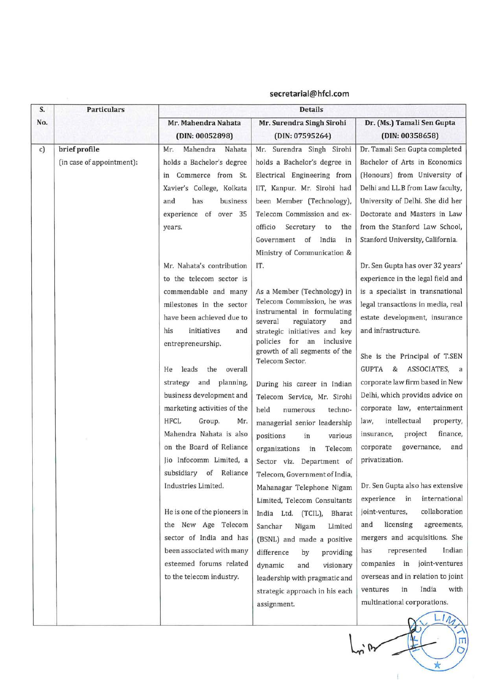| S.  | <b>Particulars</b>        | <b>Details</b>                                      |                                                            |                                                                    |
|-----|---------------------------|-----------------------------------------------------|------------------------------------------------------------|--------------------------------------------------------------------|
| No. |                           | Mr. Mahendra Nahata                                 | Mr. Surendra Singh Sirohi                                  | Dr. (Ms.) Tamali Sen Gupta                                         |
|     |                           | (DIN: 00052898)                                     | (DIN: 07595264)                                            | (DIN: 00358658)                                                    |
| c)  | brief profile             | Mahendra Nahata<br>Mr.                              | Mr. Surendra Singh Sirohi                                  | Dr. Tamali Sen Gupta completed                                     |
|     | (in case of appointment): | holds a Bachelor's degree                           | holds a Bachelor's degree in                               | Bachelor of Arts in Economics                                      |
|     |                           | Commerce from St.<br>in                             | Electrical Engineering from                                | (Honours) from University of                                       |
|     |                           | Xavier's College, Kolkata                           | IIT, Kanpur. Mr. Sirohi had                                | Delhi and LL.B from Law faculty,                                   |
|     |                           | has<br>business<br>and                              | been Member (Technology),                                  | University of Delhi. She did her                                   |
|     |                           | experience of over 35                               | Telecom Commission and ex-                                 | Doctorate and Masters in Law                                       |
|     |                           | years.                                              | Secretary<br>officio<br>to<br>the                          | from the Stanford Law School,                                      |
|     |                           |                                                     | Government of<br>India<br>in                               | Stanford University, California.                                   |
|     |                           |                                                     | Ministry of Communication &                                |                                                                    |
|     |                           | Mr. Nahata's contribution                           | IT.                                                        | Dr. Sen Gupta has over 32 years'                                   |
|     |                           | to the telecom sector is                            |                                                            | experience in the legal field and                                  |
|     |                           | commendable and many                                | As a Member (Technology) in<br>Telecom Commission, he was  | is a specialist in transnational                                   |
|     |                           | milestones in the sector                            | instrumental in formulating                                | legal transactions in media, real                                  |
|     |                           | have been achieved due to                           | regulatory<br>several<br>and                               | estate development, insurance                                      |
|     |                           | initiatives<br>his<br>and                           | strategic initiatives and key<br>policies for an inclusive | and infrastructure.                                                |
|     |                           | entrepreneurship.                                   | growth of all segments of the                              |                                                                    |
|     |                           |                                                     | Telecom Sector.                                            | She is the Principal of T.SEN                                      |
|     |                           | leads<br>the overall<br>He                          |                                                            | GUPTA & ASSOCIATES, a                                              |
|     |                           | strategy and planning,                              | During his career in Indian                                | corporate law firm based in New                                    |
|     |                           | business development and                            | Telecom Service, Mr. Sirohi                                | Delhi, which provides advice on                                    |
|     |                           | marketing activities of the                         | held<br>techno-<br>numerous                                | corporate law, entertainment                                       |
|     |                           | HFCL<br>Group.<br>Mr.                               | managerial senior leadership                               | intellectual<br>law,<br>property,                                  |
|     |                           | Mahendra Nahata is also<br>on the Board of Reliance | positions<br>in<br>various                                 | finance,<br>insurance,<br>project                                  |
|     |                           |                                                     | Telecom<br>organizations<br>in                             | governance,<br>and<br>corporate                                    |
|     |                           | Jio Infocomm Limited, a                             | Sector viz. Department of                                  | privatization.                                                     |
|     |                           | subsidiary of<br>Reliance<br>Industries Limited.    | Telecom, Government of India,                              |                                                                    |
|     |                           |                                                     | Mahanagar Telephone Nigam                                  | Dr. Sen Gupta also has extensive<br>experience in<br>international |
|     |                           | He is one of the pioneers in                        | Limited, Telecom Consultants                               | collaboration<br>joint-ventures,                                   |
|     |                           | the New Age Telecom                                 | India Ltd. (TCIL), Bharat                                  | licensing<br>agreements,<br>and                                    |
|     |                           | sector of India and has                             | Sanchar<br>Nigam<br>Limited                                | mergers and acquisitions. She                                      |
|     |                           | been associated with many                           | (BSNL) and made a positive                                 | represented<br>Indian<br>has                                       |
|     |                           | esteemed forums related                             | difference<br>providing<br>by                              | companies in joint-ventures                                        |
|     |                           | to the telecom industry.                            | dynamic<br>visionary<br>and                                | overseas and in relation to joint                                  |
|     |                           |                                                     | leadership with pragmatic and                              | India<br>in<br>with<br>ventures                                    |
|     |                           |                                                     | strategic approach in his each                             | multinational corporations.                                        |
|     |                           |                                                     | assignment.                                                |                                                                    |
|     |                           |                                                     |                                                            | Ш                                                                  |

**secretarial@hfcl.com** 

 $\ddot{k}$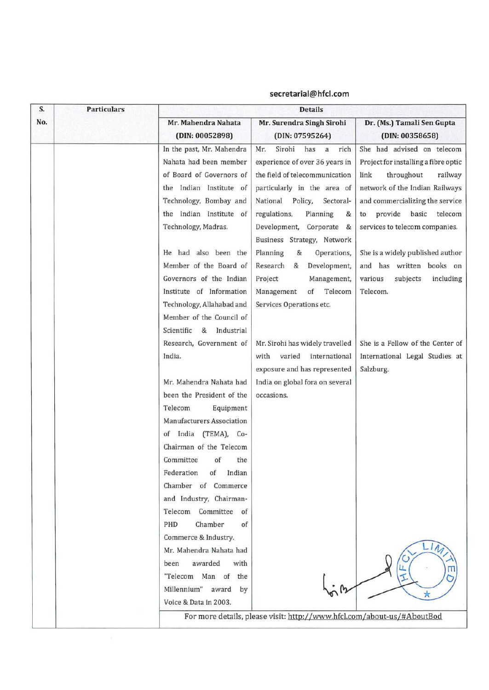| S.  | <b>Particulars</b> | <b>Details</b>                                                                                                                                                                                                                                                                                                                                                                               |                                                                                                                                                                                                                                                                                                                                                                                                                           |                                                                                                                                                                                                                                                                                                                                                           |
|-----|--------------------|----------------------------------------------------------------------------------------------------------------------------------------------------------------------------------------------------------------------------------------------------------------------------------------------------------------------------------------------------------------------------------------------|---------------------------------------------------------------------------------------------------------------------------------------------------------------------------------------------------------------------------------------------------------------------------------------------------------------------------------------------------------------------------------------------------------------------------|-----------------------------------------------------------------------------------------------------------------------------------------------------------------------------------------------------------------------------------------------------------------------------------------------------------------------------------------------------------|
| No. |                    | Mr. Mahendra Nahata<br>(DIN: 00052898)                                                                                                                                                                                                                                                                                                                                                       | Mr. Surendra Singh Sirohi<br>(DIN: 07595264)                                                                                                                                                                                                                                                                                                                                                                              | Dr. (Ms.) Tamali Sen Gupta<br>(DIN: 00358658)                                                                                                                                                                                                                                                                                                             |
|     |                    | In the past, Mr. Mahendra<br>Nahata had been member<br>of Board of Governors of<br>Indian Institute of<br>the<br>Technology, Bombay and<br>the Indian Institute of<br>Technology, Madras.<br>He had also been the<br>Member of the Board of<br>Governors of the Indian<br>Institute of Information<br>Technology, Allahabad and<br>Member of the Council of<br>Scientific<br>&<br>Industrial | Sirohi<br>has<br>Mr.<br>a<br>rich<br>experience of over 36 years in<br>the field of telecommunication<br>particularly in the area of<br>National<br>Policy, Sectoral-<br>regulations,<br>Planning<br>&<br>Development, Corporate<br>&<br>Business Strategy, Network<br>&<br>Planning<br>Operations,<br>Research<br>Development,<br>&<br>Project<br>Management,<br>Telecom<br>Management<br>of<br>Services Operations etc. | She had advised on telecom<br>Project for installing a fibre optic<br>throughout<br>link<br>railway<br>network of the Indian Railways<br>and commercializing the service<br>provide basic telecom<br>to<br>services to telecom companies.<br>She is a widely published author<br>and has written books on<br>various<br>subjects<br>including<br>Telecom. |
|     |                    | Research, Government of<br>India.<br>Mr. Mahendra Nahata had<br>been the President of the<br>Telecom<br>Equipment<br>Manufacturers Association<br>India (TEMA), Co-<br>of<br>Chairman of the Telecom<br>of<br>Committee<br>the<br>Federation<br>Indian<br>of<br>Chamber of Commerce<br>and Industry, Chairman-<br>Committee<br>Telecom<br>of<br>Chamber<br>PHD<br>of<br>Commerce & Industry. | Mr. Sirohi has widely travelled<br>with<br>varied<br>international<br>exposure and has represented<br>India on global fora on several<br>occasions.                                                                                                                                                                                                                                                                       | She is a Fellow of the Center of<br>International Legal Studies at<br>Salzburg.                                                                                                                                                                                                                                                                           |
|     |                    | Mr. Mahendra Nahata had<br>awarded<br>with<br>been<br>"Telecom Man of the<br>Millennium" award by<br>Voice & Data in 2003.                                                                                                                                                                                                                                                                   |                                                                                                                                                                                                                                                                                                                                                                                                                           |                                                                                                                                                                                                                                                                                                                                                           |
|     |                    | For more details, please visit: http://www.hfcl.com/about-us/#AboutBod                                                                                                                                                                                                                                                                                                                       |                                                                                                                                                                                                                                                                                                                                                                                                                           |                                                                                                                                                                                                                                                                                                                                                           |

## **secretarial@hfcl.com**